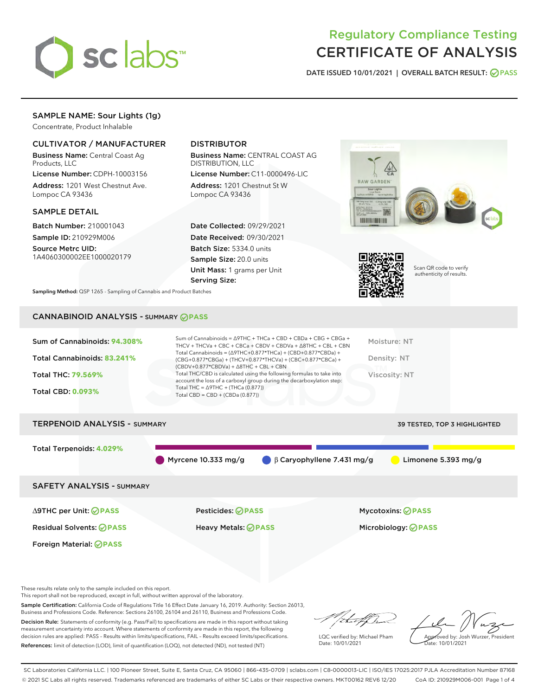

# Regulatory Compliance Testing CERTIFICATE OF ANALYSIS

DATE ISSUED 10/01/2021 | OVERALL BATCH RESULT: @ PASS

# SAMPLE NAME: Sour Lights (1g)

Concentrate, Product Inhalable

### CULTIVATOR / MANUFACTURER

Business Name: Central Coast Ag Products, LLC

License Number: CDPH-10003156 Address: 1201 West Chestnut Ave. Lompoc CA 93436

#### SAMPLE DETAIL

Batch Number: 210001043 Sample ID: 210929M006

Source Metrc UID: 1A4060300002EE1000020179

# DISTRIBUTOR

Business Name: CENTRAL COAST AG DISTRIBUTION, LLC

License Number: C11-0000496-LIC Address: 1201 Chestnut St W Lompoc CA 93436

Date Collected: 09/29/2021 Date Received: 09/30/2021 Batch Size: 5334.0 units Sample Size: 20.0 units Unit Mass: 1 grams per Unit Serving Size:





Scan QR code to verify authenticity of results.

Sampling Method: QSP 1265 - Sampling of Cannabis and Product Batches

# CANNABINOID ANALYSIS - SUMMARY **PASS**

| Sum of Cannabinoids: 94.308% | Sum of Cannabinoids = ∆9THC + THCa + CBD + CBDa + CBG + CBGa +<br>THCV + THCVa + CBC + CBCa + CBDV + CBDVa + $\Delta$ 8THC + CBL + CBN                                               | Moisture: NT  |
|------------------------------|--------------------------------------------------------------------------------------------------------------------------------------------------------------------------------------|---------------|
| Total Cannabinoids: 83.241%  | Total Cannabinoids = $(\Delta$ 9THC+0.877*THCa) + (CBD+0.877*CBDa) +<br>(CBG+0.877*CBGa) + (THCV+0.877*THCVa) + (CBC+0.877*CBCa) +<br>$(CBDV+0.877*CBDVa) + \Delta 8THC + CBL + CBN$ | Density: NT   |
| <b>Total THC: 79.569%</b>    | Total THC/CBD is calculated using the following formulas to take into<br>account the loss of a carboxyl group during the decarboxylation step:                                       | Viscosity: NT |
| <b>Total CBD: 0.093%</b>     | Total THC = $\triangle$ 9THC + (THCa (0.877))<br>Total CBD = $CBD + (CBDa (0.877))$                                                                                                  |               |
|                              |                                                                                                                                                                                      |               |

# TERPENOID ANALYSIS - SUMMARY 39 TESTED, TOP 3 HIGHLIGHTED Total Terpenoids: **4.029%** Myrcene 10.333 mg/g  $\bigcirc$  β Caryophyllene 7.431 mg/g  $\bigcirc$  Limonene 5.393 mg/g SAFETY ANALYSIS - SUMMARY ∆9THC per Unit: **PASS** Pesticides: **PASS** Mycotoxins: **PASS**

Foreign Material: **PASS**

Residual Solvents: **PASS** Heavy Metals: **PASS** Microbiology: **PASS**

These results relate only to the sample included on this report.

This report shall not be reproduced, except in full, without written approval of the laboratory.

Sample Certification: California Code of Regulations Title 16 Effect Date January 16, 2019. Authority: Section 26013, Business and Professions Code. Reference: Sections 26100, 26104 and 26110, Business and Professions Code.

Decision Rule: Statements of conformity (e.g. Pass/Fail) to specifications are made in this report without taking measurement uncertainty into account. Where statements of conformity are made in this report, the following decision rules are applied: PASS – Results within limits/specifications, FAIL – Results exceed limits/specifications. References: limit of detection (LOD), limit of quantification (LOQ), not detected (ND), not tested (NT)

that f(h

LQC verified by: Michael Pham Date: 10/01/2021

Approved by: Josh Wurzer, President proved by: 585

SC Laboratories California LLC. | 100 Pioneer Street, Suite E, Santa Cruz, CA 95060 | 866-435-0709 | sclabs.com | C8-0000013-LIC | ISO/IES 17025:2017 PJLA Accreditation Number 87168 © 2021 SC Labs all rights reserved. Trademarks referenced are trademarks of either SC Labs or their respective owners. MKT00162 REV6 12/20 CoA ID: 210929M006-001 Page 1 of 4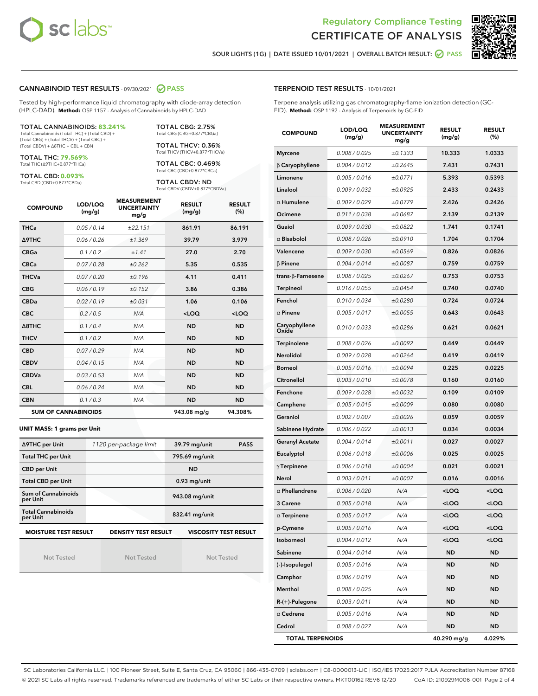



SOUR LIGHTS (1G) | DATE ISSUED 10/01/2021 | OVERALL BATCH RESULT: @ PASS

#### CANNABINOID TEST RESULTS - 09/30/2021 2 PASS

Tested by high-performance liquid chromatography with diode-array detection (HPLC-DAD). **Method:** QSP 1157 - Analysis of Cannabinoids by HPLC-DAD

#### TOTAL CANNABINOIDS: **83.241%**

Total Cannabinoids (Total THC) + (Total CBD) + (Total CBG) + (Total THCV) + (Total CBC) + (Total CBDV) + ∆8THC + CBL + CBN

TOTAL THC: **79.569%** Total THC (∆9THC+0.877\*THCa)

TOTAL CBD: **0.093%**

Total CBD (CBD+0.877\*CBDa)

TOTAL CBG: 2.75% Total CBG (CBG+0.877\*CBGa)

TOTAL THCV: 0.36% Total THCV (THCV+0.877\*THCVa)

TOTAL CBC: 0.469% Total CBC (CBC+0.877\*CBCa)

TOTAL CBDV: ND Total CBDV (CBDV+0.877\*CBDVa)

| <b>COMPOUND</b> | LOD/LOQ<br>(mg/g)          | <b>MEASUREMENT</b><br><b>UNCERTAINTY</b><br>mg/g | <b>RESULT</b><br>(mg/g) | <b>RESULT</b><br>(%) |
|-----------------|----------------------------|--------------------------------------------------|-------------------------|----------------------|
| <b>THCa</b>     | 0.05/0.14                  | ±22.151                                          | 861.91                  | 86.191               |
| <b>A9THC</b>    | 0.06 / 0.26                | ±1.369                                           | 39.79                   | 3.979                |
| <b>CBGa</b>     | 0.1/0.2                    | ±1.41                                            | 27.0                    | 2.70                 |
| <b>CBCa</b>     | 0.07 / 0.28                | ±0.262                                           | 5.35                    | 0.535                |
| <b>THCVa</b>    | 0.07/0.20                  | ±0.196                                           | 4.11                    | 0.411                |
| <b>CBG</b>      | 0.06/0.19                  | ±0.152                                           | 3.86                    | 0.386                |
| <b>CBDa</b>     | 0.02/0.19                  | ±0.031                                           | 1.06                    | 0.106                |
| <b>CBC</b>      | 0.2 / 0.5                  | N/A                                              | $<$ LOQ                 | $<$ LOQ              |
| A8THC           | 0.1 / 0.4                  | N/A                                              | <b>ND</b>               | <b>ND</b>            |
| <b>THCV</b>     | 0.1/0.2                    | N/A                                              | <b>ND</b>               | <b>ND</b>            |
| <b>CBD</b>      | 0.07/0.29                  | N/A                                              | <b>ND</b>               | <b>ND</b>            |
| <b>CBDV</b>     | 0.04 / 0.15                | N/A                                              | <b>ND</b>               | <b>ND</b>            |
| <b>CBDVa</b>    | 0.03/0.53                  | N/A                                              | <b>ND</b>               | <b>ND</b>            |
| <b>CBL</b>      | 0.06 / 0.24                | N/A                                              | <b>ND</b>               | <b>ND</b>            |
| <b>CBN</b>      | 0.1/0.3                    | N/A                                              | <b>ND</b>               | <b>ND</b>            |
|                 | <b>SUM OF CANNABINOIDS</b> |                                                  | 943.08 mg/g             | 94.308%              |

#### **UNIT MASS: 1 grams per Unit**

| ∆9THC per Unit                        | 1120 per-package limit     | 39.79 mg/unit<br><b>PASS</b> |
|---------------------------------------|----------------------------|------------------------------|
| <b>Total THC per Unit</b>             |                            | 795.69 mg/unit               |
| <b>CBD per Unit</b>                   |                            | <b>ND</b>                    |
| <b>Total CBD per Unit</b>             |                            | $0.93$ mg/unit               |
| Sum of Cannabinoids<br>per Unit       |                            | 943.08 mg/unit               |
| <b>Total Cannabinoids</b><br>per Unit |                            | 832.41 mg/unit               |
| <b>MOISTURE TEST RESULT</b>           | <b>DENSITY TEST RESULT</b> | <b>VISCOSITY TEST RESULT</b> |

Not Tested

Not Tested

Not Tested

#### TERPENOID TEST RESULTS - 10/01/2021

Terpene analysis utilizing gas chromatography-flame ionization detection (GC-FID). **Method:** QSP 1192 - Analysis of Terpenoids by GC-FID

| <b>COMPOUND</b>           | LOD/LOQ<br>(mg/g) | <b>MEASUREMENT</b><br><b>UNCERTAINTY</b><br>mg/g | <b>RESULT</b><br>(mg/g)                         | <b>RESULT</b><br>(%) |
|---------------------------|-------------------|--------------------------------------------------|-------------------------------------------------|----------------------|
| <b>Myrcene</b>            | 0.008 / 0.025     | ±0.1333                                          | 10.333                                          | 1.0333               |
| $\beta$ Caryophyllene     | 0.004 / 0.012     | ±0.2645                                          | 7.431                                           | 0.7431               |
| Limonene                  | 0.005 / 0.016     | ±0.0771                                          | 5.393                                           | 0.5393               |
| Linalool                  | 0.009 / 0.032     | ±0.0925                                          | 2.433                                           | 0.2433               |
| $\alpha$ Humulene         | 0.009/0.029       | ±0.0779                                          | 2.426                                           | 0.2426               |
| Ocimene                   | 0.011 / 0.038     | ±0.0687                                          | 2.139                                           | 0.2139               |
| Guaiol                    | 0.009 / 0.030     | ±0.0822                                          | 1.741                                           | 0.1741               |
| $\alpha$ Bisabolol        | 0.008 / 0.026     | ±0.0910                                          | 1.704                                           | 0.1704               |
| Valencene                 | 0.009 / 0.030     | ±0.0569                                          | 0.826                                           | 0.0826               |
| <b>B</b> Pinene           | 0.004 / 0.014     | ±0.0087                                          | 0.759                                           | 0.0759               |
| trans- $\beta$ -Farnesene | 0.008 / 0.025     | ±0.0267                                          | 0.753                                           | 0.0753               |
| <b>Terpineol</b>          | 0.016 / 0.055     | ±0.0454                                          | 0.740                                           | 0.0740               |
| Fenchol                   | 0.010 / 0.034     | ±0.0280                                          | 0.724                                           | 0.0724               |
| $\alpha$ Pinene           | 0.005 / 0.017     | ±0.0055                                          | 0.643                                           | 0.0643               |
| Caryophyllene<br>Oxide    | 0.010 / 0.033     | ±0.0286                                          | 0.621                                           | 0.0621               |
| Terpinolene               | 0.008 / 0.026     | ±0.0092                                          | 0.449                                           | 0.0449               |
| Nerolidol                 | 0.009 / 0.028     | ±0.0264                                          | 0.419                                           | 0.0419               |
| Borneol                   | 0.005 / 0.016     | ±0.0094                                          | 0.225                                           | 0.0225               |
| Citronellol               | 0.003 / 0.010     | ±0.0078                                          | 0.160                                           | 0.0160               |
| Fenchone                  | 0.009 / 0.028     | ±0.0032                                          | 0.109                                           | 0.0109               |
| Camphene                  | 0.005 / 0.015     | ±0.0009                                          | 0.080                                           | 0.0080               |
| Geraniol                  | 0.002 / 0.007     | ±0.0026                                          | 0.059                                           | 0.0059               |
| Sabinene Hydrate          | 0.006 / 0.022     | ±0.0013                                          | 0.034                                           | 0.0034               |
| <b>Geranyl Acetate</b>    | 0.004 / 0.014     | ±0.0011                                          | 0.027                                           | 0.0027               |
| Eucalyptol                | 0.006 / 0.018     | ±0.0006                                          | 0.025                                           | 0.0025               |
| $\gamma$ Terpinene        | 0.006 / 0.018     | ±0.0004                                          | 0.021                                           | 0.0021               |
| Nerol                     | 0.003 / 0.011     | ±0.0007                                          | 0.016                                           | 0.0016               |
| $\alpha$ Phellandrene     | 0.006 / 0.020     | N/A                                              | <loq< th=""><th><loq< th=""></loq<></th></loq<> | <loq< th=""></loq<>  |
| 3 Carene                  | 0.005 / 0.018     | N/A                                              | <loq< th=""><th><loq< th=""></loq<></th></loq<> | <loq< th=""></loq<>  |
| $\alpha$ Terpinene        | 0.005 / 0.017     | N/A                                              | <loq< th=""><th><loq< th=""></loq<></th></loq<> | <loq< th=""></loq<>  |
| p-Cymene                  | 0.005 / 0.016     | N/A                                              | <loq< th=""><th><loq< th=""></loq<></th></loq<> | <loq< th=""></loq<>  |
| Isoborneol                | 0.004 / 0.012     | N/A                                              | <loq< th=""><th><loq< th=""></loq<></th></loq<> | <loq< th=""></loq<>  |
| Sabinene                  | 0.004 / 0.014     | N/A                                              | <b>ND</b>                                       | <b>ND</b>            |
| (-)-Isopulegol            | 0.005 / 0.016     | N/A                                              | <b>ND</b>                                       | <b>ND</b>            |
| Camphor                   | 0.006 / 0.019     | N/A                                              | ND                                              | ND                   |
| Menthol                   | 0.008 / 0.025     | N/A                                              | <b>ND</b>                                       | ND                   |
| R-(+)-Pulegone            | 0.003 / 0.011     | N/A                                              | <b>ND</b>                                       | <b>ND</b>            |
| $\alpha$ Cedrene          | 0.005 / 0.016     | N/A                                              | ND                                              | ND                   |
| Cedrol                    | 0.008 / 0.027     | N/A                                              | <b>ND</b>                                       | ND                   |
| <b>TOTAL TERPENOIDS</b>   |                   |                                                  | 40.290 mg/g                                     | 4.029%               |

SC Laboratories California LLC. | 100 Pioneer Street, Suite E, Santa Cruz, CA 95060 | 866-435-0709 | sclabs.com | C8-0000013-LIC | ISO/IES 17025:2017 PJLA Accreditation Number 87168 © 2021 SC Labs all rights reserved. Trademarks referenced are trademarks of either SC Labs or their respective owners. MKT00162 REV6 12/20 CoA ID: 210929M006-001 Page 2 of 4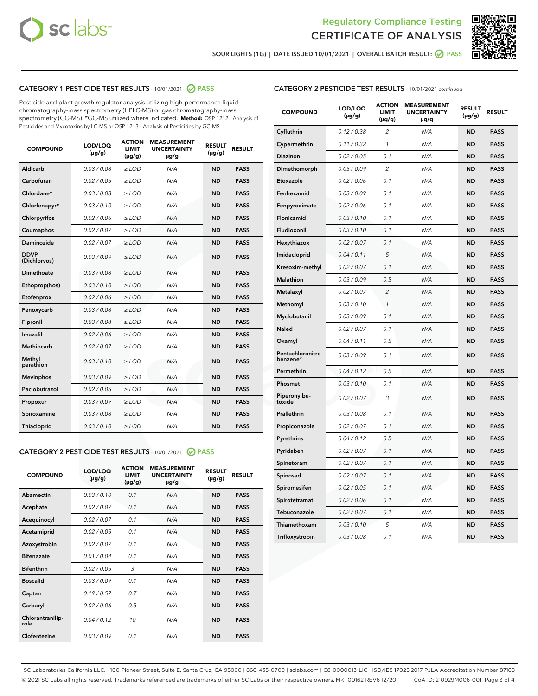



SOUR LIGHTS (1G) | DATE ISSUED 10/01/2021 | OVERALL BATCH RESULT:  $\bigcirc$  PASS

# CATEGORY 1 PESTICIDE TEST RESULTS - 10/01/2021 2 PASS

Pesticide and plant growth regulator analysis utilizing high-performance liquid chromatography-mass spectrometry (HPLC-MS) or gas chromatography-mass spectrometry (GC-MS). \*GC-MS utilized where indicated. **Method:** QSP 1212 - Analysis of Pesticides and Mycotoxins by LC-MS or QSP 1213 - Analysis of Pesticides by GC-MS

| 0.03/0.08<br><b>ND</b><br>Aldicarb<br>$>$ LOD<br>N/A<br><b>PASS</b><br>Carbofuran<br>0.02/0.05<br><b>PASS</b><br>$>$ LOD<br>N/A<br><b>ND</b><br>Chlordane*<br>0.03 / 0.08<br>N/A<br><b>ND</b><br><b>PASS</b><br>$\ge$ LOD<br>Chlorfenapyr*<br>0.03/0.10<br>N/A<br><b>PASS</b><br>$\ge$ LOD<br><b>ND</b><br>N/A<br><b>ND</b><br><b>PASS</b><br>Chlorpyrifos<br>0.02 / 0.06<br>$\ge$ LOD<br>Coumaphos<br>0.02 / 0.07<br>N/A<br><b>ND</b><br><b>PASS</b><br>$\ge$ LOD<br>Daminozide<br>0.02 / 0.07<br>N/A<br><b>ND</b><br><b>PASS</b><br>$\ge$ LOD<br><b>DDVP</b><br>0.03/0.09<br>$>$ LOD<br>N/A<br><b>ND</b><br><b>PASS</b><br>(Dichlorvos)<br>Dimethoate<br>0.03/0.08<br>$>$ LOD<br>N/A<br><b>ND</b><br><b>PASS</b><br>0.03/0.10<br>N/A<br><b>ND</b><br><b>PASS</b><br>Ethoprop(hos)<br>$\ge$ LOD<br>0.02 / 0.06<br>N/A<br><b>ND</b><br><b>PASS</b><br>Etofenprox<br>$\ge$ LOD<br>Fenoxycarb<br>0.03/0.08<br>N/A<br><b>ND</b><br><b>PASS</b><br>$\ge$ LOD<br>0.03/0.08<br><b>ND</b><br><b>PASS</b><br>Fipronil<br>$\ge$ LOD<br>N/A<br>Imazalil<br>0.02 / 0.06<br>$\ge$ LOD<br>N/A<br><b>ND</b><br><b>PASS</b><br>Methiocarb<br>0.02 / 0.07<br>N/A<br><b>ND</b><br><b>PASS</b><br>$\ge$ LOD<br>Methyl<br>0.03/0.10<br>$\ge$ LOD<br>N/A<br><b>ND</b><br><b>PASS</b><br>parathion<br>0.03/0.09<br><b>Mevinphos</b><br>$\ge$ LOD<br>N/A<br><b>ND</b><br><b>PASS</b><br>Paclobutrazol<br>0.02 / 0.05<br>$\ge$ LOD<br>N/A<br><b>ND</b><br><b>PASS</b><br>0.03/0.09<br>$\ge$ LOD<br>N/A<br><b>ND</b><br><b>PASS</b><br>Propoxur<br>Spiroxamine<br>0.03/0.08<br>$\ge$ LOD<br>N/A<br><b>ND</b><br><b>PASS</b><br>0.03/0.10<br><b>ND</b><br><b>PASS</b><br><b>Thiacloprid</b><br>$\ge$ LOD<br>N/A | <b>COMPOUND</b> | LOD/LOQ<br>$(\mu g/g)$ | <b>ACTION</b><br>LIMIT<br>$(\mu g/g)$ | <b>MEASUREMENT</b><br><b>UNCERTAINTY</b><br>$\mu$ g/g | <b>RESULT</b><br>$(\mu g/g)$ | <b>RESULT</b> |
|----------------------------------------------------------------------------------------------------------------------------------------------------------------------------------------------------------------------------------------------------------------------------------------------------------------------------------------------------------------------------------------------------------------------------------------------------------------------------------------------------------------------------------------------------------------------------------------------------------------------------------------------------------------------------------------------------------------------------------------------------------------------------------------------------------------------------------------------------------------------------------------------------------------------------------------------------------------------------------------------------------------------------------------------------------------------------------------------------------------------------------------------------------------------------------------------------------------------------------------------------------------------------------------------------------------------------------------------------------------------------------------------------------------------------------------------------------------------------------------------------------------------------------------------------------------------------------------------------------------------------------------------------------------------------------------|-----------------|------------------------|---------------------------------------|-------------------------------------------------------|------------------------------|---------------|
|                                                                                                                                                                                                                                                                                                                                                                                                                                                                                                                                                                                                                                                                                                                                                                                                                                                                                                                                                                                                                                                                                                                                                                                                                                                                                                                                                                                                                                                                                                                                                                                                                                                                                        |                 |                        |                                       |                                                       |                              |               |
|                                                                                                                                                                                                                                                                                                                                                                                                                                                                                                                                                                                                                                                                                                                                                                                                                                                                                                                                                                                                                                                                                                                                                                                                                                                                                                                                                                                                                                                                                                                                                                                                                                                                                        |                 |                        |                                       |                                                       |                              |               |
|                                                                                                                                                                                                                                                                                                                                                                                                                                                                                                                                                                                                                                                                                                                                                                                                                                                                                                                                                                                                                                                                                                                                                                                                                                                                                                                                                                                                                                                                                                                                                                                                                                                                                        |                 |                        |                                       |                                                       |                              |               |
|                                                                                                                                                                                                                                                                                                                                                                                                                                                                                                                                                                                                                                                                                                                                                                                                                                                                                                                                                                                                                                                                                                                                                                                                                                                                                                                                                                                                                                                                                                                                                                                                                                                                                        |                 |                        |                                       |                                                       |                              |               |
|                                                                                                                                                                                                                                                                                                                                                                                                                                                                                                                                                                                                                                                                                                                                                                                                                                                                                                                                                                                                                                                                                                                                                                                                                                                                                                                                                                                                                                                                                                                                                                                                                                                                                        |                 |                        |                                       |                                                       |                              |               |
|                                                                                                                                                                                                                                                                                                                                                                                                                                                                                                                                                                                                                                                                                                                                                                                                                                                                                                                                                                                                                                                                                                                                                                                                                                                                                                                                                                                                                                                                                                                                                                                                                                                                                        |                 |                        |                                       |                                                       |                              |               |
|                                                                                                                                                                                                                                                                                                                                                                                                                                                                                                                                                                                                                                                                                                                                                                                                                                                                                                                                                                                                                                                                                                                                                                                                                                                                                                                                                                                                                                                                                                                                                                                                                                                                                        |                 |                        |                                       |                                                       |                              |               |
|                                                                                                                                                                                                                                                                                                                                                                                                                                                                                                                                                                                                                                                                                                                                                                                                                                                                                                                                                                                                                                                                                                                                                                                                                                                                                                                                                                                                                                                                                                                                                                                                                                                                                        |                 |                        |                                       |                                                       |                              |               |
|                                                                                                                                                                                                                                                                                                                                                                                                                                                                                                                                                                                                                                                                                                                                                                                                                                                                                                                                                                                                                                                                                                                                                                                                                                                                                                                                                                                                                                                                                                                                                                                                                                                                                        |                 |                        |                                       |                                                       |                              |               |
|                                                                                                                                                                                                                                                                                                                                                                                                                                                                                                                                                                                                                                                                                                                                                                                                                                                                                                                                                                                                                                                                                                                                                                                                                                                                                                                                                                                                                                                                                                                                                                                                                                                                                        |                 |                        |                                       |                                                       |                              |               |
|                                                                                                                                                                                                                                                                                                                                                                                                                                                                                                                                                                                                                                                                                                                                                                                                                                                                                                                                                                                                                                                                                                                                                                                                                                                                                                                                                                                                                                                                                                                                                                                                                                                                                        |                 |                        |                                       |                                                       |                              |               |
|                                                                                                                                                                                                                                                                                                                                                                                                                                                                                                                                                                                                                                                                                                                                                                                                                                                                                                                                                                                                                                                                                                                                                                                                                                                                                                                                                                                                                                                                                                                                                                                                                                                                                        |                 |                        |                                       |                                                       |                              |               |
|                                                                                                                                                                                                                                                                                                                                                                                                                                                                                                                                                                                                                                                                                                                                                                                                                                                                                                                                                                                                                                                                                                                                                                                                                                                                                                                                                                                                                                                                                                                                                                                                                                                                                        |                 |                        |                                       |                                                       |                              |               |
|                                                                                                                                                                                                                                                                                                                                                                                                                                                                                                                                                                                                                                                                                                                                                                                                                                                                                                                                                                                                                                                                                                                                                                                                                                                                                                                                                                                                                                                                                                                                                                                                                                                                                        |                 |                        |                                       |                                                       |                              |               |
|                                                                                                                                                                                                                                                                                                                                                                                                                                                                                                                                                                                                                                                                                                                                                                                                                                                                                                                                                                                                                                                                                                                                                                                                                                                                                                                                                                                                                                                                                                                                                                                                                                                                                        |                 |                        |                                       |                                                       |                              |               |
|                                                                                                                                                                                                                                                                                                                                                                                                                                                                                                                                                                                                                                                                                                                                                                                                                                                                                                                                                                                                                                                                                                                                                                                                                                                                                                                                                                                                                                                                                                                                                                                                                                                                                        |                 |                        |                                       |                                                       |                              |               |
|                                                                                                                                                                                                                                                                                                                                                                                                                                                                                                                                                                                                                                                                                                                                                                                                                                                                                                                                                                                                                                                                                                                                                                                                                                                                                                                                                                                                                                                                                                                                                                                                                                                                                        |                 |                        |                                       |                                                       |                              |               |
|                                                                                                                                                                                                                                                                                                                                                                                                                                                                                                                                                                                                                                                                                                                                                                                                                                                                                                                                                                                                                                                                                                                                                                                                                                                                                                                                                                                                                                                                                                                                                                                                                                                                                        |                 |                        |                                       |                                                       |                              |               |
|                                                                                                                                                                                                                                                                                                                                                                                                                                                                                                                                                                                                                                                                                                                                                                                                                                                                                                                                                                                                                                                                                                                                                                                                                                                                                                                                                                                                                                                                                                                                                                                                                                                                                        |                 |                        |                                       |                                                       |                              |               |
|                                                                                                                                                                                                                                                                                                                                                                                                                                                                                                                                                                                                                                                                                                                                                                                                                                                                                                                                                                                                                                                                                                                                                                                                                                                                                                                                                                                                                                                                                                                                                                                                                                                                                        |                 |                        |                                       |                                                       |                              |               |
|                                                                                                                                                                                                                                                                                                                                                                                                                                                                                                                                                                                                                                                                                                                                                                                                                                                                                                                                                                                                                                                                                                                                                                                                                                                                                                                                                                                                                                                                                                                                                                                                                                                                                        |                 |                        |                                       |                                                       |                              |               |

### CATEGORY 2 PESTICIDE TEST RESULTS - 10/01/2021 @ PASS

| <b>COMPOUND</b>          | LOD/LOO<br>$(\mu g/g)$ | <b>ACTION</b><br>LIMIT<br>$(\mu g/g)$ | <b>MEASUREMENT</b><br><b>UNCERTAINTY</b><br>$\mu$ g/g | <b>RESULT</b><br>$(\mu g/g)$ | <b>RESULT</b> |  |
|--------------------------|------------------------|---------------------------------------|-------------------------------------------------------|------------------------------|---------------|--|
| Abamectin                | 0.03/0.10              | 0.1                                   | N/A                                                   | <b>ND</b>                    | <b>PASS</b>   |  |
| Acephate                 | 0.02/0.07              | 0.1                                   | N/A                                                   | <b>ND</b>                    | <b>PASS</b>   |  |
| Acequinocyl              | 0.02/0.07              | 0.1                                   | N/A                                                   | <b>ND</b>                    | <b>PASS</b>   |  |
| Acetamiprid              | 0.02/0.05              | 0.1                                   | N/A                                                   | <b>ND</b>                    | <b>PASS</b>   |  |
| Azoxystrobin             | 0.02/0.07              | 0.1                                   | N/A                                                   | <b>ND</b>                    | <b>PASS</b>   |  |
| <b>Bifenazate</b>        | 0.01/0.04              | 0.1                                   | N/A                                                   | <b>ND</b>                    | <b>PASS</b>   |  |
| <b>Bifenthrin</b>        | 0.02/0.05              | 3                                     | N/A                                                   | <b>ND</b>                    | <b>PASS</b>   |  |
| <b>Boscalid</b>          | 0.03/0.09              | 0.1                                   | N/A                                                   | <b>ND</b>                    | <b>PASS</b>   |  |
| Captan                   | 0.19/0.57              | 0.7                                   | N/A                                                   | <b>ND</b>                    | <b>PASS</b>   |  |
| Carbaryl                 | 0.02/0.06              | 0.5                                   | N/A                                                   | <b>ND</b>                    | <b>PASS</b>   |  |
| Chlorantranilip-<br>role | 0.04/0.12              | 10                                    | N/A                                                   | <b>ND</b>                    | <b>PASS</b>   |  |
| Clofentezine             | 0.03/0.09              | 0.1                                   | N/A                                                   | <b>ND</b>                    | <b>PASS</b>   |  |

## CATEGORY 2 PESTICIDE TEST RESULTS - 10/01/2021 continued

| <b>COMPOUND</b>               | LOD/LOQ<br>(µg/g) | <b>ACTION</b><br>LIMIT<br>(µg/g) | <b>MEASUREMENT</b><br><b>UNCERTAINTY</b><br>µg/g | <b>RESULT</b><br>(µg/g) | <b>RESULT</b> |
|-------------------------------|-------------------|----------------------------------|--------------------------------------------------|-------------------------|---------------|
| Cyfluthrin                    | 0.12 / 0.38       | $\overline{c}$                   | N/A                                              | <b>ND</b>               | <b>PASS</b>   |
| Cypermethrin                  | 0.11/0.32         | 1                                | N/A                                              | <b>ND</b>               | <b>PASS</b>   |
| <b>Diazinon</b>               | 0.02 / 0.05       | 0.1                              | N/A                                              | <b>ND</b>               | <b>PASS</b>   |
| Dimethomorph                  | 0.03 / 0.09       | 2                                | N/A                                              | <b>ND</b>               | <b>PASS</b>   |
| Etoxazole                     | 0.02 / 0.06       | 0.1                              | N/A                                              | <b>ND</b>               | <b>PASS</b>   |
| Fenhexamid                    | 0.03 / 0.09       | 0.1                              | N/A                                              | <b>ND</b>               | <b>PASS</b>   |
| Fenpyroximate                 | 0.02 / 0.06       | 0.1                              | N/A                                              | <b>ND</b>               | <b>PASS</b>   |
| Flonicamid                    | 0.03 / 0.10       | 0.1                              | N/A                                              | <b>ND</b>               | <b>PASS</b>   |
| Fludioxonil                   | 0.03/0.10         | 0.1                              | N/A                                              | <b>ND</b>               | <b>PASS</b>   |
| Hexythiazox                   | 0.02 / 0.07       | 0.1                              | N/A                                              | <b>ND</b>               | <b>PASS</b>   |
| Imidacloprid                  | 0.04 / 0.11       | 5                                | N/A                                              | <b>ND</b>               | <b>PASS</b>   |
| Kresoxim-methyl               | 0.02 / 0.07       | 0.1                              | N/A                                              | <b>ND</b>               | <b>PASS</b>   |
| <b>Malathion</b>              | 0.03 / 0.09       | 0.5                              | N/A                                              | <b>ND</b>               | <b>PASS</b>   |
| Metalaxyl                     | 0.02 / 0.07       | $\overline{c}$                   | N/A                                              | <b>ND</b>               | <b>PASS</b>   |
| Methomyl                      | 0.03 / 0.10       | 1                                | N/A                                              | <b>ND</b>               | <b>PASS</b>   |
| Myclobutanil                  | 0.03/0.09         | 0.1                              | N/A                                              | <b>ND</b>               | <b>PASS</b>   |
| Naled                         | 0.02 / 0.07       | 0.1                              | N/A                                              | <b>ND</b>               | <b>PASS</b>   |
| Oxamyl                        | 0.04 / 0.11       | 0.5                              | N/A                                              | <b>ND</b>               | <b>PASS</b>   |
| Pentachloronitro-<br>benzene* | 0.03/0.09         | 0.1                              | N/A                                              | <b>ND</b>               | <b>PASS</b>   |
| Permethrin                    | 0.04 / 0.12       | 0.5                              | N/A                                              | <b>ND</b>               | <b>PASS</b>   |
| Phosmet                       | 0.03 / 0.10       | 0.1                              | N/A                                              | <b>ND</b>               | <b>PASS</b>   |
| Piperonylbu-<br>toxide        | 0.02 / 0.07       | 3                                | N/A                                              | <b>ND</b>               | <b>PASS</b>   |
| Prallethrin                   | 0.03 / 0.08       | 0.1                              | N/A                                              | <b>ND</b>               | <b>PASS</b>   |
| Propiconazole                 | 0.02 / 0.07       | 0.1                              | N/A                                              | <b>ND</b>               | <b>PASS</b>   |
| Pyrethrins                    | 0.04 / 0.12       | 0.5                              | N/A                                              | <b>ND</b>               | <b>PASS</b>   |
| Pyridaben                     | 0.02 / 0.07       | 0.1                              | N/A                                              | <b>ND</b>               | <b>PASS</b>   |
| Spinetoram                    | 0.02 / 0.07       | 0.1                              | N/A                                              | <b>ND</b>               | <b>PASS</b>   |
| Spinosad                      | 0.02 / 0.07       | 0.1                              | N/A                                              | <b>ND</b>               | <b>PASS</b>   |
| Spiromesifen                  | 0.02 / 0.05       | 0.1                              | N/A                                              | <b>ND</b>               | <b>PASS</b>   |
| Spirotetramat                 | 0.02 / 0.06       | 0.1                              | N/A                                              | <b>ND</b>               | <b>PASS</b>   |
| Tebuconazole                  | 0.02 / 0.07       | 0.1                              | N/A                                              | <b>ND</b>               | <b>PASS</b>   |
| Thiamethoxam                  | 0.03 / 0.10       | 5                                | N/A                                              | <b>ND</b>               | <b>PASS</b>   |
| Trifloxystrobin               | 0.03 / 0.08       | 0.1                              | N/A                                              | <b>ND</b>               | <b>PASS</b>   |

SC Laboratories California LLC. | 100 Pioneer Street, Suite E, Santa Cruz, CA 95060 | 866-435-0709 | sclabs.com | C8-0000013-LIC | ISO/IES 17025:2017 PJLA Accreditation Number 87168 © 2021 SC Labs all rights reserved. Trademarks referenced are trademarks of either SC Labs or their respective owners. MKT00162 REV6 12/20 CoA ID: 210929M006-001 Page 3 of 4